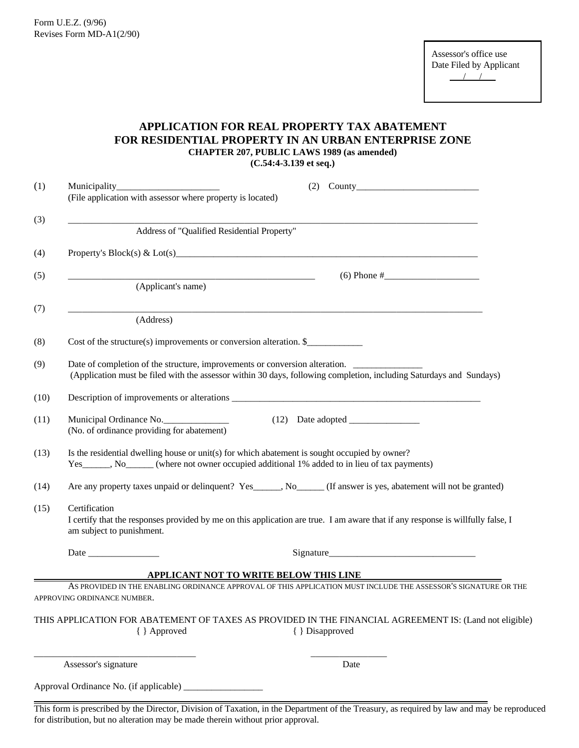Form U.E.Z. (9/96) Revises Form MD-A1(2/90)

# **APPLICATION FOR REAL PROPERTY TAX ABATEMENT FOR RESIDENTIAL PROPERTY IN AN URBAN ENTERPRISE ZONE CHAPTER 207, PUBLIC LAWS 1989 (as amended) (C.54:4-3.139 et seq.)**

| (1)  | $(2)$ County                                                                                                                                                                                                                  |
|------|-------------------------------------------------------------------------------------------------------------------------------------------------------------------------------------------------------------------------------|
|      | (File application with assessor where property is located)                                                                                                                                                                    |
| (3)  |                                                                                                                                                                                                                               |
|      | Address of "Qualified Residential Property"                                                                                                                                                                                   |
| (4)  |                                                                                                                                                                                                                               |
| (5)  |                                                                                                                                                                                                                               |
|      | (Applicant's name)                                                                                                                                                                                                            |
| (7)  |                                                                                                                                                                                                                               |
|      | (Address)                                                                                                                                                                                                                     |
| (8)  | Cost of the structure(s) improvements or conversion alteration. $\frac{1}{2}$                                                                                                                                                 |
| (9)  | Date of completion of the structure, improvements or conversion alteration.<br>(Application must be filed with the assessor within 30 days, following completion, including Saturdays and Sundays)                            |
| (10) |                                                                                                                                                                                                                               |
| (11) | Municipal Ordinance No.<br>(No. of ordinance providing for abatement)                                                                                                                                                         |
| (13) | Is the residential dwelling house or unit(s) for which abatement is sought occupied by owner?<br>Yes______, No______ (where not owner occupied additional 1% added to in lieu of tax payments)                                |
| (14) | Are any property taxes unpaid or delinquent? Yes_____, No_____(If answer is yes, abatement will not be granted)                                                                                                               |
| (15) | Certification<br>I certify that the responses provided by me on this application are true. I am aware that if any response is willfully false, I<br>am subject to punishment.                                                 |
|      | Date                                                                                                                                                                                                                          |
|      | APPLICANT NOT TO WRITE BELOW THIS LINE                                                                                                                                                                                        |
|      | AS PROVIDED IN THE ENABLING ORDINANCE APPROVAL OF THIS APPLICATION MUST INCLUDE THE ASSESSOR'S SIGNATURE OR THE<br>APPROVING ORDINANCE NUMBER.                                                                                |
|      | THIS APPLICATION FOR ABATEMENT OF TAXES AS PROVIDED IN THE FINANCIAL AGREEMENT IS: (Land not eligible)<br>{ } Approved<br>{ } Disapproved                                                                                     |
|      | Assessor's signature<br>Date                                                                                                                                                                                                  |
|      |                                                                                                                                                                                                                               |
|      | This form is prescribed by the Director, Division of Taxation, in the Department of the Treasury, as required by law and may be reproduced<br>for distribution, but no alteration may be made therein without prior approval. |